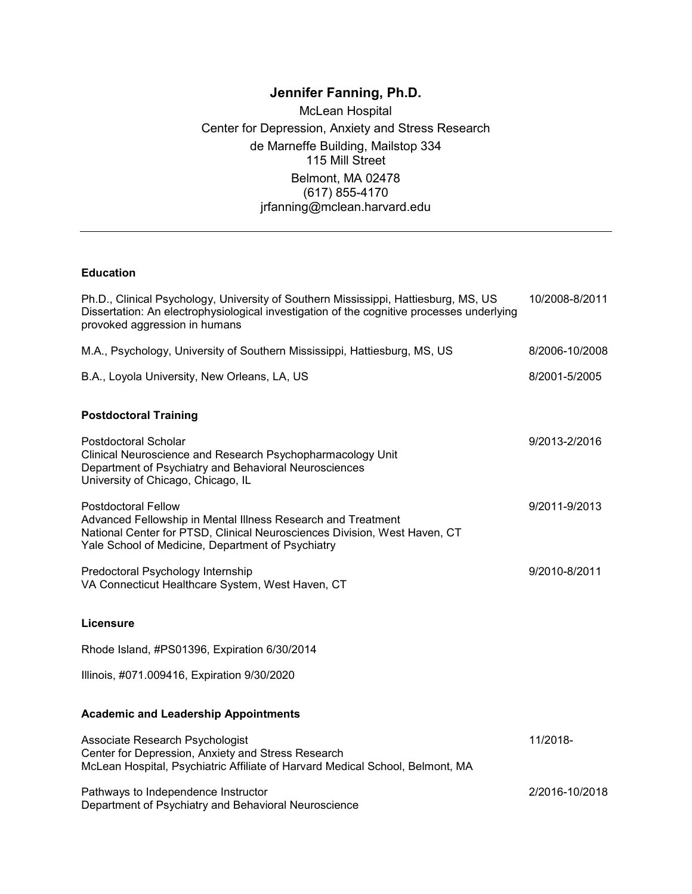# **Jennifer Fanning, Ph.D.**

McLean Hospital Center for Depression, Anxiety and Stress Research de Marneffe Building, Mailstop 334 115 Mill Street Belmont, MA 02478 (617) 855-4170 jrfanning@mclean.harvard.edu

#### **Education**

| Ph.D., Clinical Psychology, University of Southern Mississippi, Hattiesburg, MS, US<br>Dissertation: An electrophysiological investigation of the cognitive processes underlying<br>provoked aggression in humans            | 10/2008-8/2011 |
|------------------------------------------------------------------------------------------------------------------------------------------------------------------------------------------------------------------------------|----------------|
| M.A., Psychology, University of Southern Mississippi, Hattiesburg, MS, US                                                                                                                                                    | 8/2006-10/2008 |
| B.A., Loyola University, New Orleans, LA, US                                                                                                                                                                                 | 8/2001-5/2005  |
| <b>Postdoctoral Training</b>                                                                                                                                                                                                 |                |
| Postdoctoral Scholar<br>Clinical Neuroscience and Research Psychopharmacology Unit<br>Department of Psychiatry and Behavioral Neurosciences<br>University of Chicago, Chicago, IL                                            | 9/2013-2/2016  |
| <b>Postdoctoral Fellow</b><br>Advanced Fellowship in Mental Illness Research and Treatment<br>National Center for PTSD, Clinical Neurosciences Division, West Haven, CT<br>Yale School of Medicine, Department of Psychiatry | 9/2011-9/2013  |
| Predoctoral Psychology Internship<br>VA Connecticut Healthcare System, West Haven, CT                                                                                                                                        | 9/2010-8/2011  |
| <b>Licensure</b>                                                                                                                                                                                                             |                |
| Rhode Island, #PS01396, Expiration 6/30/2014                                                                                                                                                                                 |                |
| Illinois, #071.009416, Expiration 9/30/2020                                                                                                                                                                                  |                |
| <b>Academic and Leadership Appointments</b>                                                                                                                                                                                  |                |
| Associate Research Psychologist<br>Center for Depression, Anxiety and Stress Research<br>McLean Hospital, Psychiatric Affiliate of Harvard Medical School, Belmont, MA                                                       | 11/2018-       |
| Pathways to Independence Instructor<br>Department of Psychiatry and Behavioral Neuroscience                                                                                                                                  | 2/2016-10/2018 |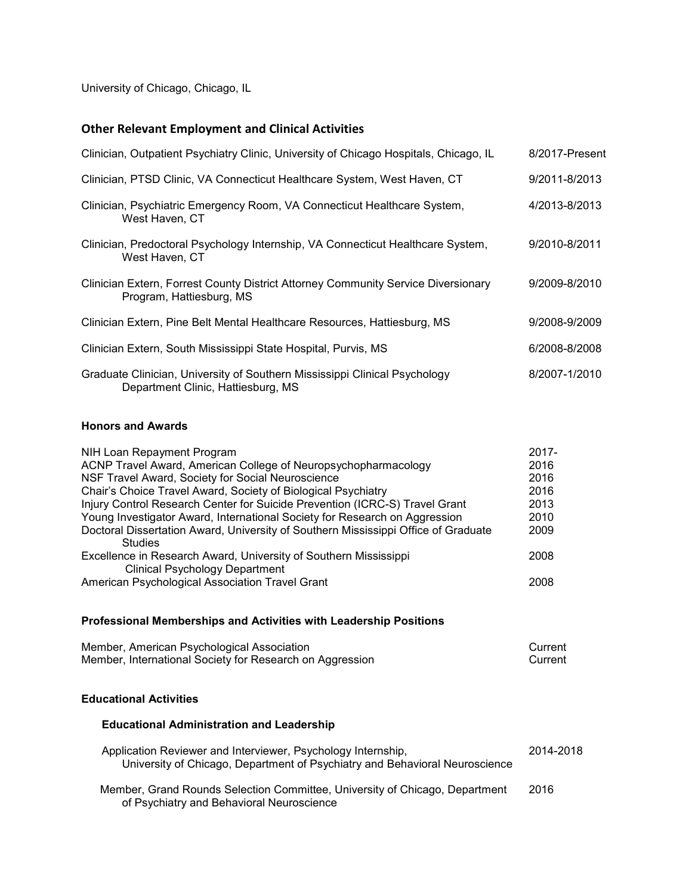University of Chicago, Chicago, IL

## **Other Relevant Employment and Clinical Activities**

| Clinician, Outpatient Psychiatry Clinic, University of Chicago Hospitals, Chicago, IL                            | 8/2017-Present |
|------------------------------------------------------------------------------------------------------------------|----------------|
| Clinician, PTSD Clinic, VA Connecticut Healthcare System, West Haven, CT                                         | 9/2011-8/2013  |
| Clinician, Psychiatric Emergency Room, VA Connecticut Healthcare System,<br>West Haven, CT                       | 4/2013-8/2013  |
| Clinician, Predoctoral Psychology Internship, VA Connecticut Healthcare System,<br>West Haven, CT                | 9/2010-8/2011  |
| Clinician Extern, Forrest County District Attorney Community Service Diversionary<br>Program, Hattiesburg, MS    | 9/2009-8/2010  |
| Clinician Extern, Pine Belt Mental Healthcare Resources, Hattiesburg, MS                                         | 9/2008-9/2009  |
| Clinician Extern, South Mississippi State Hospital, Purvis, MS                                                   | 6/2008-8/2008  |
| Graduate Clinician, University of Southern Mississippi Clinical Psychology<br>Department Clinic, Hattiesburg, MS | 8/2007-1/2010  |

## **Honors and Awards**

| NIH Loan Repayment Program                                                         | $2017 -$ |
|------------------------------------------------------------------------------------|----------|
| ACNP Travel Award, American College of Neuropsychopharmacology                     | 2016     |
| NSF Travel Award, Society for Social Neuroscience                                  | 2016     |
| Chair's Choice Travel Award, Society of Biological Psychiatry                      | 2016     |
| Injury Control Research Center for Suicide Prevention (ICRC-S) Travel Grant        | 2013     |
| Young Investigator Award, International Society for Research on Aggression         | 2010     |
| Doctoral Dissertation Award, University of Southern Mississippi Office of Graduate | 2009     |
| <b>Studies</b>                                                                     |          |
| Excellence in Research Award, University of Southern Mississippi                   | 2008     |
| <b>Clinical Psychology Department</b>                                              |          |
| American Psychological Association Travel Grant                                    | 2008     |

#### **Professional Memberships and Activities with Leadership Positions**

**Educational Administration and Leadership**

| Member, American Psychological Association               | Current |
|----------------------------------------------------------|---------|
| Member, International Society for Research on Aggression | Current |

## **Educational Activities**

| Application Reviewer and Interviewer, Psychology Internship,<br>University of Chicago, Department of Psychiatry and Behavioral Neuroscience | 2014-2018 |
|---------------------------------------------------------------------------------------------------------------------------------------------|-----------|
| Member, Grand Rounds Selection Committee, University of Chicago, Department<br>of Psychiatry and Behavioral Neuroscience                    | 2016      |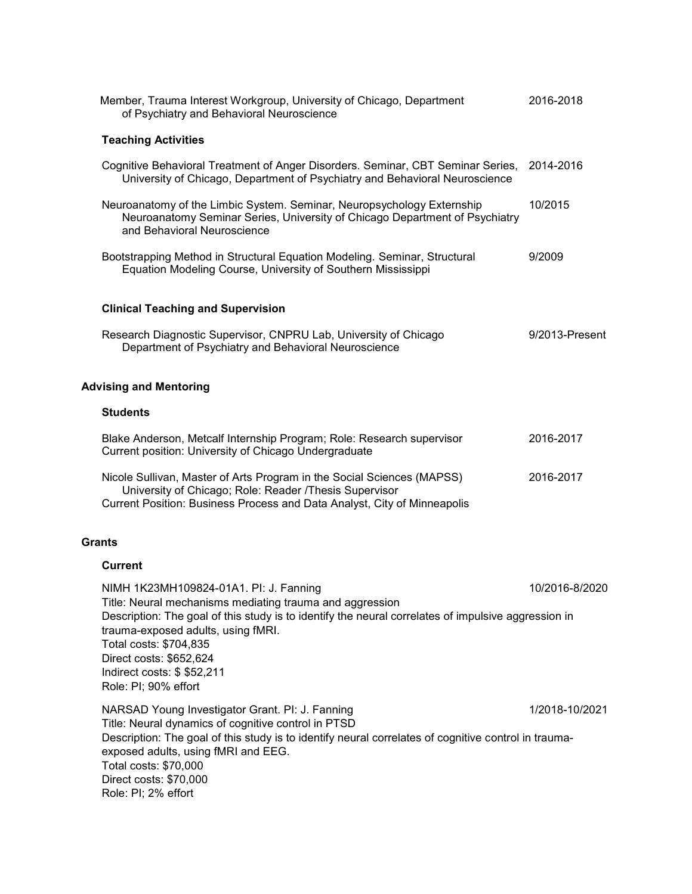| Member, Trauma Interest Workgroup, University of Chicago, Department<br>of Psychiatry and Behavioral Neuroscience                                                                                                                                                                                                                                                             | 2016-2018      |
|-------------------------------------------------------------------------------------------------------------------------------------------------------------------------------------------------------------------------------------------------------------------------------------------------------------------------------------------------------------------------------|----------------|
| <b>Teaching Activities</b>                                                                                                                                                                                                                                                                                                                                                    |                |
| Cognitive Behavioral Treatment of Anger Disorders. Seminar, CBT Seminar Series,<br>University of Chicago, Department of Psychiatry and Behavioral Neuroscience                                                                                                                                                                                                                | 2014-2016      |
| Neuroanatomy of the Limbic System. Seminar, Neuropsychology Externship<br>Neuroanatomy Seminar Series, University of Chicago Department of Psychiatry<br>and Behavioral Neuroscience                                                                                                                                                                                          | 10/2015        |
| Bootstrapping Method in Structural Equation Modeling. Seminar, Structural<br>Equation Modeling Course, University of Southern Mississippi                                                                                                                                                                                                                                     | 9/2009         |
| <b>Clinical Teaching and Supervision</b>                                                                                                                                                                                                                                                                                                                                      |                |
| Research Diagnostic Supervisor, CNPRU Lab, University of Chicago<br>Department of Psychiatry and Behavioral Neuroscience                                                                                                                                                                                                                                                      | 9/2013-Present |
| <b>Advising and Mentoring</b>                                                                                                                                                                                                                                                                                                                                                 |                |
| <b>Students</b>                                                                                                                                                                                                                                                                                                                                                               |                |
| Blake Anderson, Metcalf Internship Program; Role: Research supervisor<br>Current position: University of Chicago Undergraduate                                                                                                                                                                                                                                                | 2016-2017      |
| Nicole Sullivan, Master of Arts Program in the Social Sciences (MAPSS)<br>University of Chicago; Role: Reader /Thesis Supervisor<br>Current Position: Business Process and Data Analyst, City of Minneapolis                                                                                                                                                                  | 2016-2017      |
| <b>Grants</b>                                                                                                                                                                                                                                                                                                                                                                 |                |
| <b>Current</b>                                                                                                                                                                                                                                                                                                                                                                |                |
| 10/2016-8/2020<br>NIMH 1K23MH109824-01A1. PI: J. Fanning<br>Title: Neural mechanisms mediating trauma and aggression<br>Description: The goal of this study is to identify the neural correlates of impulsive aggression in<br>trauma-exposed adults, using fMRI.<br>Total costs: \$704,835<br>Direct costs: \$652,624<br>Indirect costs: \$ \$52,211<br>Role: PI; 90% effort |                |
| NARSAD Young Investigator Grant. PI: J. Fanning<br>Title: Neural dynamics of cognitive control in PTSD<br>Description: The goal of this study is to identify neural correlates of cognitive control in trauma-<br>exposed adults, using fMRI and EEG.<br>Total costs: \$70,000<br>Direct costs: \$70,000<br>Role: PI; 2% effort                                               | 1/2018-10/2021 |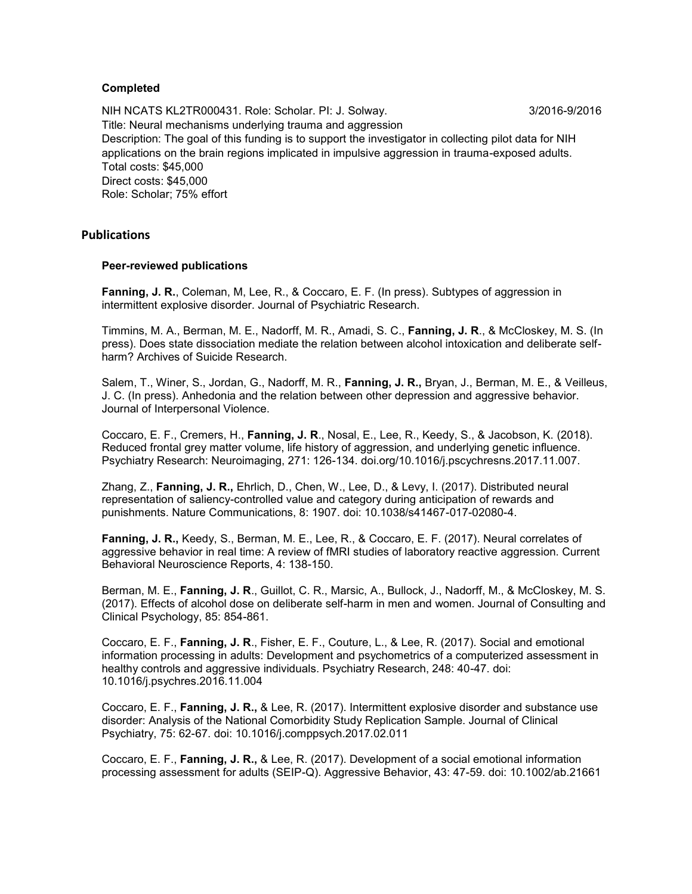## **Completed**

NIH NCATS KL2TR000431. Role: Scholar. Pl: J. Solway. 3/2016-9/2016 Title: Neural mechanisms underlying trauma and aggression Description: The goal of this funding is to support the investigator in collecting pilot data for NIH applications on the brain regions implicated in impulsive aggression in trauma-exposed adults. Total costs: \$45,000 Direct costs: \$45,000 Role: Scholar; 75% effort

#### **Publications**

#### **Peer-reviewed publications**

**Fanning, J. R.**, Coleman, M, Lee, R., & Coccaro, E. F. (In press). Subtypes of aggression in intermittent explosive disorder. Journal of Psychiatric Research.

Timmins, M. A., Berman, M. E., Nadorff, M. R., Amadi, S. C., **Fanning, J. R**., & McCloskey, M. S. (In press). Does state dissociation mediate the relation between alcohol intoxication and deliberate selfharm? Archives of Suicide Research.

Salem, T., Winer, S., Jordan, G., Nadorff, M. R., **Fanning, J. R.,** Bryan, J., Berman, M. E., & Veilleus, J. C. (In press). Anhedonia and the relation between other depression and aggressive behavior. Journal of Interpersonal Violence.

Coccaro, E. F., Cremers, H., **Fanning, J. R**., Nosal, E., Lee, R., Keedy, S., & Jacobson, K. (2018). Reduced frontal grey matter volume, life history of aggression, and underlying genetic influence. Psychiatry Research: Neuroimaging, 271: 126-134. doi.org/10.1016/j.pscychresns.2017.11.007.

Zhang, Z., **Fanning, J. R.,** Ehrlich, D., Chen, W., Lee, D., & Levy, I. (2017). Distributed neural representation of saliency-controlled value and category during anticipation of rewards and punishments. Nature Communications, 8: 1907. doi: 10.1038/s41467-017-02080-4.

**Fanning, J. R.,** Keedy, S., Berman, M. E., Lee, R., & Coccaro, E. F. (2017). Neural correlates of aggressive behavior in real time: A review of fMRI studies of laboratory reactive aggression. Current Behavioral Neuroscience Reports, 4: 138-150.

Berman, M. E., **Fanning, J. R**., Guillot, C. R., Marsic, A., Bullock, J., Nadorff, M., & McCloskey, M. S. (2017). Effects of alcohol dose on deliberate self-harm in men and women. Journal of Consulting and Clinical Psychology, 85: 854-861.

Coccaro, E. F., **Fanning, J. R**., Fisher, E. F., Couture, L., & Lee, R. (2017). Social and emotional information processing in adults: Development and psychometrics of a computerized assessment in healthy controls and aggressive individuals. Psychiatry Research, 248: 40-47. doi: 10.1016/j.psychres.2016.11.004

Coccaro, E. F., **Fanning, J. R.,** & Lee, R. (2017). Intermittent explosive disorder and substance use disorder: Analysis of the National Comorbidity Study Replication Sample. Journal of Clinical Psychiatry, 75: 62-67. doi: 10.1016/j.comppsych.2017.02.011

Coccaro, E. F., **Fanning, J. R.,** & Lee, R. (2017). Development of a social emotional information processing assessment for adults (SEIP-Q). Aggressive Behavior, 43: 47-59. doi: 10.1002/ab.21661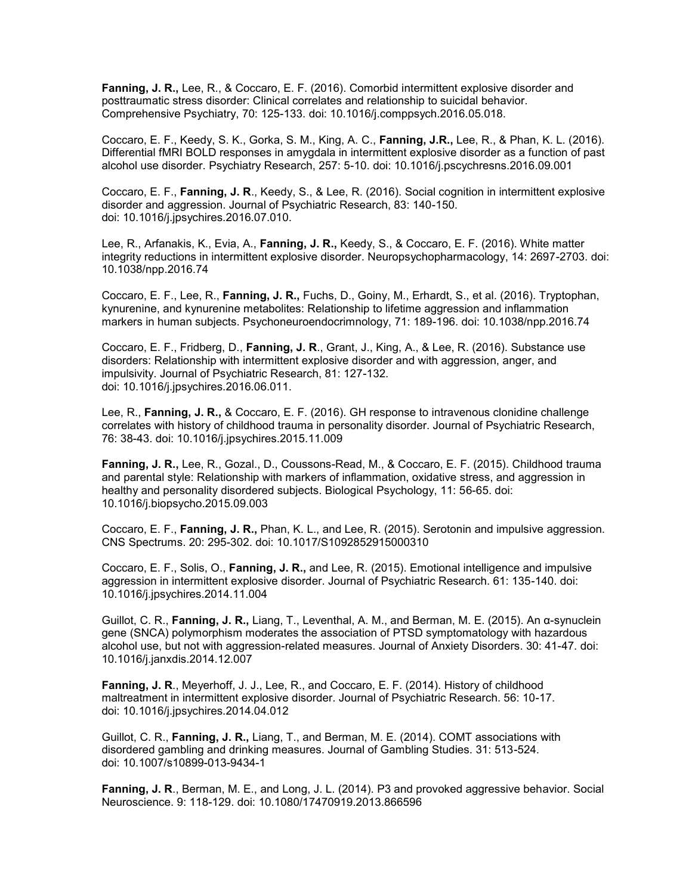**Fanning, J. R.,** Lee, R., & Coccaro, E. F. (2016). Comorbid intermittent explosive disorder and posttraumatic stress disorder: Clinical correlates and relationship to suicidal behavior. Comprehensive Psychiatry, 70: 125-133. doi: 10.1016/j.comppsych.2016.05.018.

Coccaro, E. F., Keedy, S. K., Gorka, S. M., King, A. C., **Fanning, J.R.,** Lee, R., & Phan, K. L. (2016). Differential fMRI BOLD responses in amygdala in intermittent explosive disorder as a function of past alcohol use disorder. Psychiatry Research, 257: 5-10. doi: 10.1016/j.pscychresns.2016.09.001

Coccaro, E. F., **Fanning, J. R**., Keedy, S., & Lee, R. (2016). Social cognition in intermittent explosive disorder and aggression. Journal of Psychiatric Research, 83: 140-150. doi: 10.1016/j.jpsychires.2016.07.010.

Lee, R., Arfanakis, K., Evia, A., **Fanning, J. R.,** Keedy, S., & Coccaro, E. F. (2016). White matter integrity reductions in intermittent explosive disorder. Neuropsychopharmacology, 14: 2697-2703. doi: 10.1038/npp.2016.74

Coccaro, E. F., Lee, R., **Fanning, J. R.,** Fuchs, D., Goiny, M., Erhardt, S., et al. (2016). Tryptophan, kynurenine, and kynurenine metabolites: Relationship to lifetime aggression and inflammation markers in human subjects. Psychoneuroendocrimnology, 71: 189-196. doi: 10.1038/npp.2016.74

Coccaro, E. F., Fridberg, D., **Fanning, J. R**., Grant, J., King, A., & Lee, R. (2016). Substance use disorders: Relationship with intermittent explosive disorder and with aggression, anger, and impulsivity. Journal of Psychiatric Research, 81: 127-132. doi: 10.1016/j.jpsychires.2016.06.011.

Lee, R., **Fanning, J. R.,** & Coccaro, E. F. (2016). GH response to intravenous clonidine challenge correlates with history of childhood trauma in personality disorder. Journal of Psychiatric Research, 76: 38-43. doi: 10.1016/j.jpsychires.2015.11.009

**Fanning, J. R.,** Lee, R., Gozal., D., Coussons-Read, M., & Coccaro, E. F. (2015). Childhood trauma and parental style: Relationship with markers of inflammation, oxidative stress, and aggression in healthy and personality disordered subjects. Biological Psychology, 11: 56-65. doi: 10.1016/j.biopsycho.2015.09.003

Coccaro, E. F., **Fanning, J. R.,** Phan, K. L., and Lee, R. (2015). Serotonin and impulsive aggression. CNS Spectrums. 20: 295-302. doi: 10.1017/S1092852915000310

Coccaro, E. F., Solis, O., **Fanning, J. R.,** and Lee, R. (2015). Emotional intelligence and impulsive aggression in intermittent explosive disorder. Journal of Psychiatric Research. 61: 135-140. doi: 10.1016/j.jpsychires.2014.11.004

Guillot, C. R., **Fanning, J. R.,** Liang, T., Leventhal, A. M., and Berman, M. E. (2015). An α-synuclein gene (SNCA) polymorphism moderates the association of PTSD symptomatology with hazardous alcohol use, but not with aggression-related measures. Journal of Anxiety Disorders. 30: 41-47. doi: 10.1016/j.janxdis.2014.12.007

**Fanning, J. R**., Meyerhoff, J. J., Lee, R., and Coccaro, E. F. (2014). History of childhood maltreatment in intermittent explosive disorder. Journal of Psychiatric Research. 56: 10-17. doi: 10.1016/j.jpsychires.2014.04.012

Guillot, C. R., **Fanning, J. R.,** Liang, T., and Berman, M. E. (2014). COMT associations with disordered gambling and drinking measures. Journal of Gambling Studies. 31: 513-524. doi: 10.1007/s10899-013-9434-1

**Fanning, J. R**., Berman, M. E., and Long, J. L. (2014). P3 and provoked aggressive behavior. Social Neuroscience. 9: 118-129. doi: 10.1080/17470919.2013.866596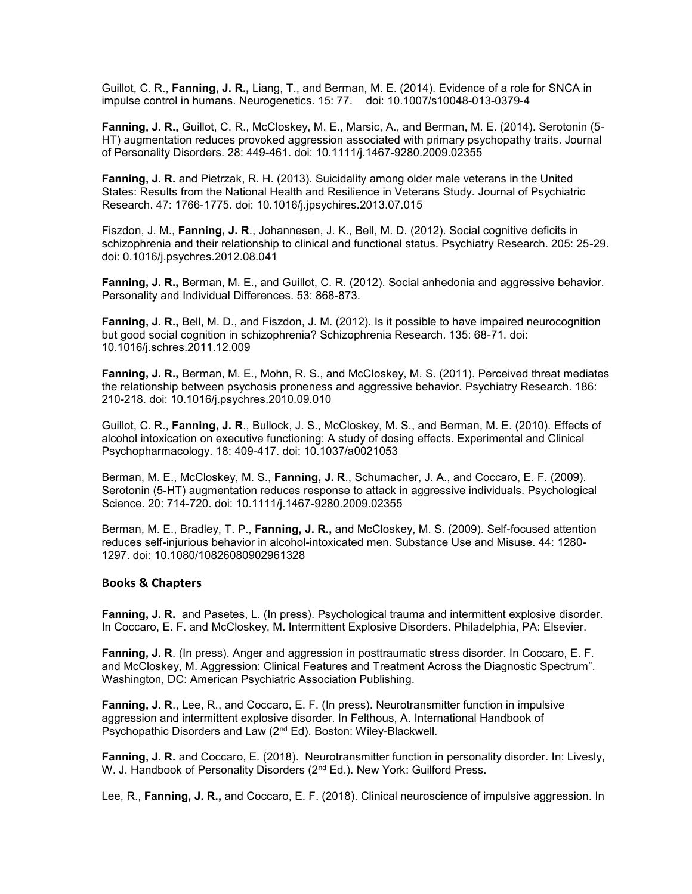Guillot, C. R., **Fanning, J. R.,** Liang, T., and Berman, M. E. (2014). Evidence of a role for SNCA in impulse control in humans. Neurogenetics. 15: 77. doi: 10.1007/s10048-013-0379-4

**Fanning, J. R.,** Guillot, C. R., McCloskey, M. E., Marsic, A., and Berman, M. E. (2014). Serotonin (5- HT) augmentation reduces provoked aggression associated with primary psychopathy traits. Journal of Personality Disorders. 28: 449-461. doi: 10.1111/j.1467-9280.2009.02355

**Fanning, J. R.** and Pietrzak, R. H. (2013). Suicidality among older male veterans in the United States: Results from the National Health and Resilience in Veterans Study. Journal of Psychiatric Research. 47: 1766-1775. doi: 10.1016/j.jpsychires.2013.07.015

Fiszdon, J. M., **Fanning, J. R**., Johannesen, J. K., Bell, M. D. (2012). Social cognitive deficits in schizophrenia and their relationship to clinical and functional status. Psychiatry Research. 205: 25-29. doi: 0.1016/j.psychres.2012.08.041

**Fanning, J. R.,** Berman, M. E., and Guillot, C. R. (2012). Social anhedonia and aggressive behavior. Personality and Individual Differences. 53: 868-873.

**Fanning, J. R.,** Bell, M. D., and Fiszdon, J. M. (2012). Is it possible to have impaired neurocognition but good social cognition in schizophrenia? Schizophrenia Research. 135: 68-71. doi: 10.1016/j.schres.2011.12.009

**Fanning, J. R.,** Berman, M. E., Mohn, R. S., and McCloskey, M. S. (2011). Perceived threat mediates the relationship between psychosis proneness and aggressive behavior. Psychiatry Research. 186: 210-218. doi: 10.1016/j.psychres.2010.09.010

Guillot, C. R., **Fanning, J. R**., Bullock, J. S., McCloskey, M. S., and Berman, M. E. (2010). Effects of alcohol intoxication on executive functioning: A study of dosing effects. Experimental and Clinical Psychopharmacology. 18: 409-417. doi: 10.1037/a0021053

Berman, M. E., McCloskey, M. S., **Fanning, J. R**., Schumacher, J. A., and Coccaro, E. F. (2009). Serotonin (5-HT) augmentation reduces response to attack in aggressive individuals. Psychological Science. 20: 714-720. doi: 10.1111/j.1467-9280.2009.02355

Berman, M. E., Bradley, T. P., **Fanning, J. R.,** and McCloskey, M. S. (2009). Self-focused attention reduces self-injurious behavior in alcohol-intoxicated men. Substance Use and Misuse. 44: 1280- 1297. doi: 10.1080/10826080902961328

#### **Books & Chapters**

**Fanning, J. R.** and Pasetes, L. (In press). Psychological trauma and intermittent explosive disorder. In Coccaro, E. F. and McCloskey, M. Intermittent Explosive Disorders. Philadelphia, PA: Elsevier.

**Fanning, J. R**. (In press). Anger and aggression in posttraumatic stress disorder. In Coccaro, E. F. and McCloskey, M. Aggression: Clinical Features and Treatment Across the Diagnostic Spectrum". Washington, DC: American Psychiatric Association Publishing.

**Fanning, J. R**., Lee, R., and Coccaro, E. F. (In press). Neurotransmitter function in impulsive aggression and intermittent explosive disorder. In Felthous, A. International Handbook of Psychopathic Disorders and Law (2nd Ed). Boston: Wiley-Blackwell.

**Fanning, J. R.** and Coccaro, E. (2018). Neurotransmitter function in personality disorder. In: Livesly, W. J. Handbook of Personality Disorders (2<sup>nd</sup> Ed.). New York: Guilford Press.

Lee, R., **Fanning, J. R.,** and Coccaro, E. F. (2018). Clinical neuroscience of impulsive aggression. In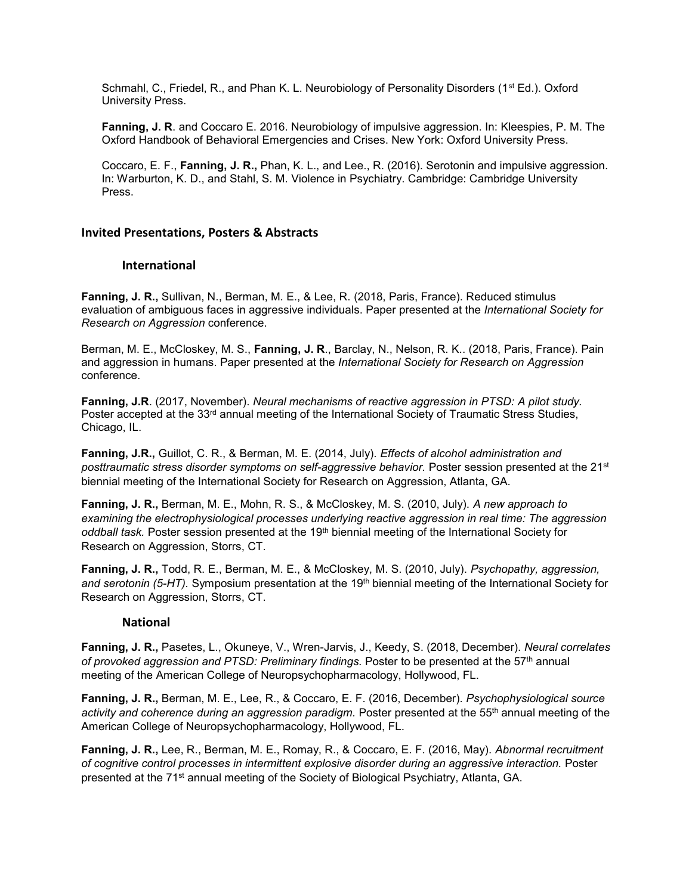Schmahl, C., Friedel, R., and Phan K. L. Neurobiology of Personality Disorders (1<sup>st</sup> Ed.). Oxford University Press.

**Fanning, J. R**. and Coccaro E. 2016. Neurobiology of impulsive aggression. In: Kleespies, P. M. The Oxford Handbook of Behavioral Emergencies and Crises. New York: Oxford University Press.

Coccaro, E. F., **Fanning, J. R.,** Phan, K. L., and Lee., R. (2016). Serotonin and impulsive aggression. In: Warburton, K. D., and Stahl, S. M. Violence in Psychiatry. Cambridge: Cambridge University Press.

#### **Invited Presentations, Posters & Abstracts**

#### **International**

**Fanning, J. R.,** Sullivan, N., Berman, M. E., & Lee, R. (2018, Paris, France). Reduced stimulus evaluation of ambiguous faces in aggressive individuals. Paper presented at the *International Society for Research on Aggression* conference.

Berman, M. E., McCloskey, M. S., **Fanning, J. R**., Barclay, N., Nelson, R. K.. (2018, Paris, France). Pain and aggression in humans. Paper presented at the *International Society for Research on Aggression* conference.

**Fanning, J.R**. (2017, November). *Neural mechanisms of reactive aggression in PTSD: A pilot study.* Poster accepted at the 33<sup>rd</sup> annual meeting of the International Society of Traumatic Stress Studies, Chicago, IL.

**Fanning, J.R.,** Guillot, C. R., & Berman, M. E. (2014, July). *Effects of alcohol administration and posttraumatic stress disorder symptoms on self-aggressive behavior.* Poster session presented at the 21st biennial meeting of the International Society for Research on Aggression, Atlanta, GA.

**Fanning, J. R.,** Berman, M. E., Mohn, R. S., & McCloskey, M. S. (2010, July). *A new approach to examining the electrophysiological processes underlying reactive aggression in real time: The aggression oddball task.* Poster session presented at the 19th biennial meeting of the International Society for Research on Aggression, Storrs, CT.

**Fanning, J. R.,** Todd, R. E., Berman, M. E., & McCloskey, M. S. (2010, July). *Psychopathy, aggression,*  and serotonin (5-HT). Symposium presentation at the 19<sup>th</sup> biennial meeting of the International Society for Research on Aggression, Storrs, CT.

#### **National**

**Fanning, J. R.,** Pasetes, L., Okuneye, V., Wren-Jarvis, J., Keedy, S. (2018, December). *Neural correlates of provoked aggression and PTSD: Preliminary findings.* Poster to be presented at the 57th annual meeting of the American College of Neuropsychopharmacology, Hollywood, FL.

**Fanning, J. R.,** Berman, M. E., Lee, R., & Coccaro, E. F. (2016, December). *Psychophysiological source activity and coherence during an aggression paradigm.* Poster presented at the 55th annual meeting of the American College of Neuropsychopharmacology, Hollywood, FL.

**Fanning, J. R.,** Lee, R., Berman, M. E., Romay, R., & Coccaro, E. F. (2016, May). *Abnormal recruitment of cognitive control processes in intermittent explosive disorder during an aggressive interaction.* Poster presented at the 71st annual meeting of the Society of Biological Psychiatry, Atlanta, GA.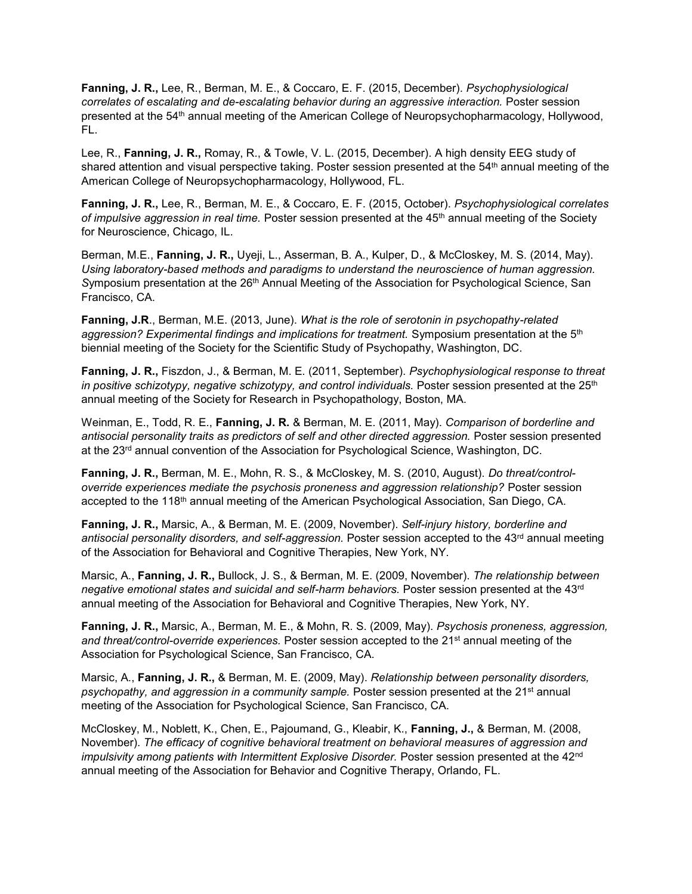**Fanning, J. R.,** Lee, R., Berman, M. E., & Coccaro, E. F. (2015, December). *Psychophysiological correlates of escalating and de-escalating behavior during an aggressive interaction.* Poster session presented at the 54th annual meeting of the American College of Neuropsychopharmacology, Hollywood, FL.

Lee, R., **Fanning, J. R.,** Romay, R., & Towle, V. L. (2015, December). A high density EEG study of shared attention and visual perspective taking. Poster session presented at the 54<sup>th</sup> annual meeting of the American College of Neuropsychopharmacology, Hollywood, FL.

**Fanning, J. R.,** Lee, R., Berman, M. E., & Coccaro, E. F. (2015, October). *Psychophysiological correlates of impulsive aggression in real time.* Poster session presented at the 45<sup>th</sup> annual meeting of the Society for Neuroscience, Chicago, IL.

Berman, M.E., **Fanning, J. R.,** Uyeji, L., Asserman, B. A., Kulper, D., & McCloskey, M. S. (2014, May). *Using laboratory-based methods and paradigms to understand the neuroscience of human aggression. S*ymposium presentation at the 26th Annual Meeting of the Association for Psychological Science, San Francisco, CA.

**Fanning, J.R**., Berman, M.E. (2013, June). *What is the role of serotonin in psychopathy-related aggression? Experimental findings and implications for treatment.* Symposium presentation at the 5th biennial meeting of the Society for the Scientific Study of Psychopathy, Washington, DC.

**Fanning, J. R.,** Fiszdon, J., & Berman, M. E. (2011, September). *Psychophysiological response to threat*  in positive schizotypy, negative schizotypy, and control individuals. Poster session presented at the 25<sup>th</sup> annual meeting of the Society for Research in Psychopathology, Boston, MA.

Weinman, E., Todd, R. E., **Fanning, J. R.** & Berman, M. E. (2011, May). *Comparison of borderline and antisocial personality traits as predictors of self and other directed aggression.* Poster session presented at the 23<sup>rd</sup> annual convention of the Association for Psychological Science, Washington, DC.

**Fanning, J. R.,** Berman, M. E., Mohn, R. S., & McCloskey, M. S. (2010, August). *Do threat/controloverride experiences mediate the psychosis proneness and aggression relationship?* Poster session accepted to the 118th annual meeting of the American Psychological Association, San Diego, CA.

**Fanning, J. R.,** Marsic, A., & Berman, M. E. (2009, November). *Self-injury history, borderline and*  antisocial personality disorders, and self-aggression. Poster session accepted to the 43<sup>rd</sup> annual meeting of the Association for Behavioral and Cognitive Therapies, New York, NY.

Marsic, A., **Fanning, J. R.,** Bullock, J. S., & Berman, M. E. (2009, November). *The relationship between negative emotional states and suicidal and self-harm behaviors.* Poster session presented at the 43rd annual meeting of the Association for Behavioral and Cognitive Therapies, New York, NY.

**Fanning, J. R.,** Marsic, A., Berman, M. E., & Mohn, R. S. (2009, May). *Psychosis proneness, aggression,*  and threat/control-override experiences. Poster session accepted to the 21<sup>st</sup> annual meeting of the Association for Psychological Science, San Francisco, CA.

Marsic, A., **Fanning, J. R.,** & Berman, M. E. (2009, May). *Relationship between personality disorders, psychopathy, and aggression in a community sample.* Poster session presented at the 21st annual meeting of the Association for Psychological Science, San Francisco, CA.

McCloskey, M., Noblett, K., Chen, E., Pajoumand, G., Kleabir, K., **Fanning, J.,** & Berman, M. (2008, November). *The efficacy of cognitive behavioral treatment on behavioral measures of aggression and impulsivity among patients with Intermittent Explosive Disorder.* Poster session presented at the 42<sup>nd</sup> annual meeting of the Association for Behavior and Cognitive Therapy, Orlando, FL.